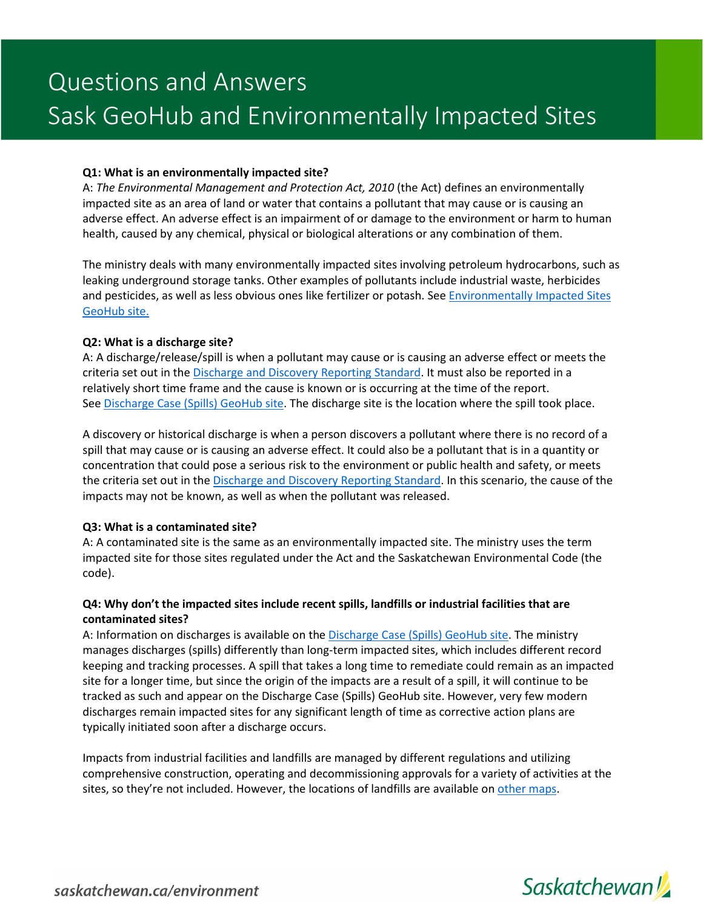## **Q1: What is an environmentally impacted site?**

A: *The Environmental Management and Protection Act, 2010* (the Act) defines an environmentally impacted site as an area of land or water that contains a pollutant that may cause or is causing an adverse effect. An adverse effect is an impairment of or damage to the environment or harm to human health, caused by any chemical, physical or biological alterations or any combination of them.

The ministry deals with many environmentally impacted sites involving petroleum hydrocarbons, such as leaking underground storage tanks. Other examples of pollutants include industrial waste, herbicides and pesticides, as well as less obvious ones like fertilizer or potash. See [Environmentally Impacted Sites](https://environment-saskatchewan.hub.arcgis.com/datasets/4c5d8eb1738644a18fe1a5b23ab2bfda/about)  [GeoHub site.](https://environment-saskatchewan.hub.arcgis.com/datasets/4c5d8eb1738644a18fe1a5b23ab2bfda/about)

## **Q2: What is a discharge site?**

A: A discharge/release/spill is when a pollutant may cause or is causing an adverse effect or meets the criteria set out in the [Discharge and Discovery](https://publications.saskatchewan.ca/api/v1/products/77473/formats/110320/download) Reporting Standard. It must also be reported in a relatively short time frame and the cause is known or is occurring at the time of the report. Se[e Discharge Case \(Spills\) GeoHub site.](https://environment-saskatchewan.hub.arcgis.com/datasets/52fbf23dcd4746328452844a7db2b828/about) The discharge site is the location where the spill took place.

A discovery or historical discharge is when a person discovers a pollutant where there is no record of a spill that may cause or is causing an adverse effect. It could also be a pollutant that is in a quantity or concentration that could pose a serious risk to the environment or public health and safety, or meets the criteria set out in th[e Discharge and Discovery Reporting Standard.](https://publications.saskatchewan.ca/api/v1/products/77473/formats/110320/download) In this scenario, the cause of the impacts may not be known, as well as when the pollutant was released.

# **Q3: What is a contaminated site?**

A: A contaminated site is the same as an environmentally impacted site. The ministry uses the term impacted site for those sites regulated under the Act and the Saskatchewan Environmental Code (the code).

# **Q4: Why don't the impacted sites include recent spills, landfills or industrial facilities that are contaminated sites?**

A: Information on discharges is available on the [Discharge Case \(Spills\) GeoHub site.](https://environment-saskatchewan.hub.arcgis.com/datasets/52fbf23dcd4746328452844a7db2b828/about) The ministry manages discharges (spills) differently than long-term impacted sites, which includes different record keeping and tracking processes. A spill that takes a long time to remediate could remain as an impacted site for a longer time, but since the origin of the impacts are a result of a spill, it will continue to be tracked as such and appear on the Discharge Case (Spills) GeoHub site. However, very few modern discharges remain impacted sites for any significant length of time as corrective action plans are typically initiated soon after a discharge occurs.

Impacts from industrial facilities and landfills are managed by different regulations and utilizing comprehensive construction, operating and decommissioning approvals for a variety of activities at the sites, so they're not included. However, the locations of landfills are available on [other maps.](https://www.saskatchewan.ca/government/notarized-documents-legislation-maps/maps)

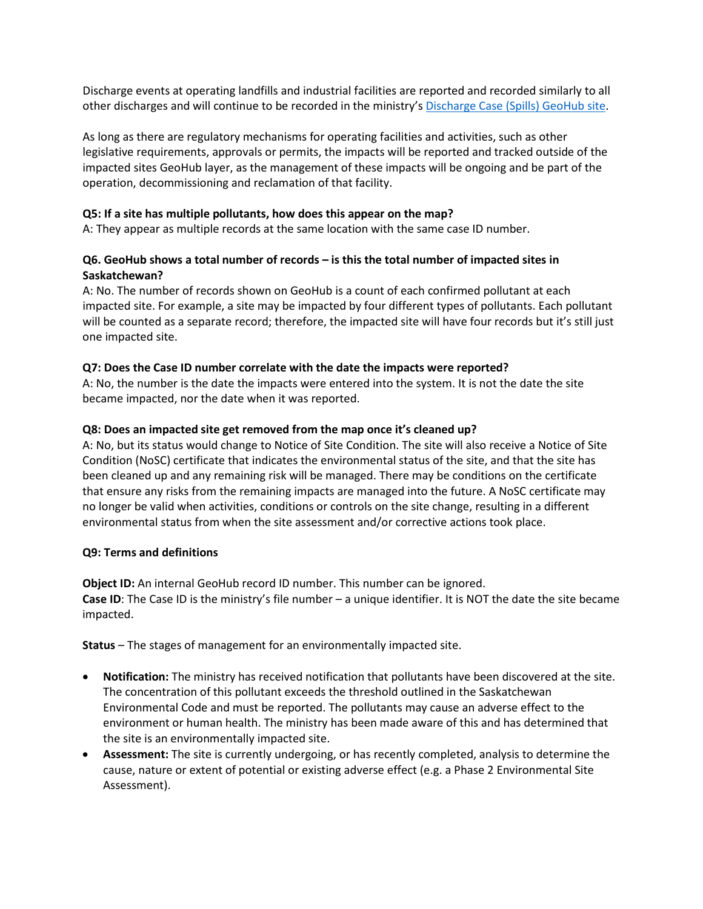Discharge events at operating landfills and industrial facilities are reported and recorded similarly to all other discharges and will continue to be recorded in the ministry's [Discharge Case \(Spills\) GeoHub site.](https://environment-saskatchewan.hub.arcgis.com/datasets/52fbf23dcd4746328452844a7db2b828/about)

As long as there are regulatory mechanisms for operating facilities and activities, such as other legislative requirements, approvals or permits, the impacts will be reported and tracked outside of the impacted sites GeoHub layer, as the management of these impacts will be ongoing and be part of the operation, decommissioning and reclamation of that facility.

### **Q5: If a site has multiple pollutants, how does this appear on the map?**

A: They appear as multiple records at the same location with the same case ID number.

## **Q6. GeoHub shows a total number of records – is this the total number of impacted sites in Saskatchewan?**

A: No. The number of records shown on GeoHub is a count of each confirmed pollutant at each impacted site. For example, a site may be impacted by four different types of pollutants. Each pollutant will be counted as a separate record; therefore, the impacted site will have four records but it's still just one impacted site.

## **Q7: Does the Case ID number correlate with the date the impacts were reported?**

A: No, the number is the date the impacts were entered into the system. It is not the date the site became impacted, nor the date when it was reported.

## **Q8: Does an impacted site get removed from the map once it's cleaned up?**

A: No, but its status would change to Notice of Site Condition. The site will also receive a Notice of Site Condition (NoSC) certificate that indicates the environmental status of the site, and that the site has been cleaned up and any remaining risk will be managed. There may be conditions on the certificate that ensure any risks from the remaining impacts are managed into the future. A NoSC certificate may no longer be valid when activities, conditions or controls on the site change, resulting in a different environmental status from when the site assessment and/or corrective actions took place.

### **Q9: Terms and definitions**

**Object ID:** An internal GeoHub record ID number. This number can be ignored. **Case ID**: The Case ID is the ministry's file number – a unique identifier. It is NOT the date the site became impacted.

**Status** – The stages of management for an environmentally impacted site.

- **Notification:** The ministry has received notification that pollutants have been discovered at the site. The concentration of this pollutant exceeds the threshold outlined in the Saskatchewan Environmental Code and must be reported. The pollutants may cause an adverse effect to the environment or human health. The ministry has been made aware of this and has determined that the site is an environmentally impacted site.
- **Assessment:** The site is currently undergoing, or has recently completed, analysis to determine the cause, nature or extent of potential or existing adverse effect (e.g. a Phase 2 Environmental Site Assessment).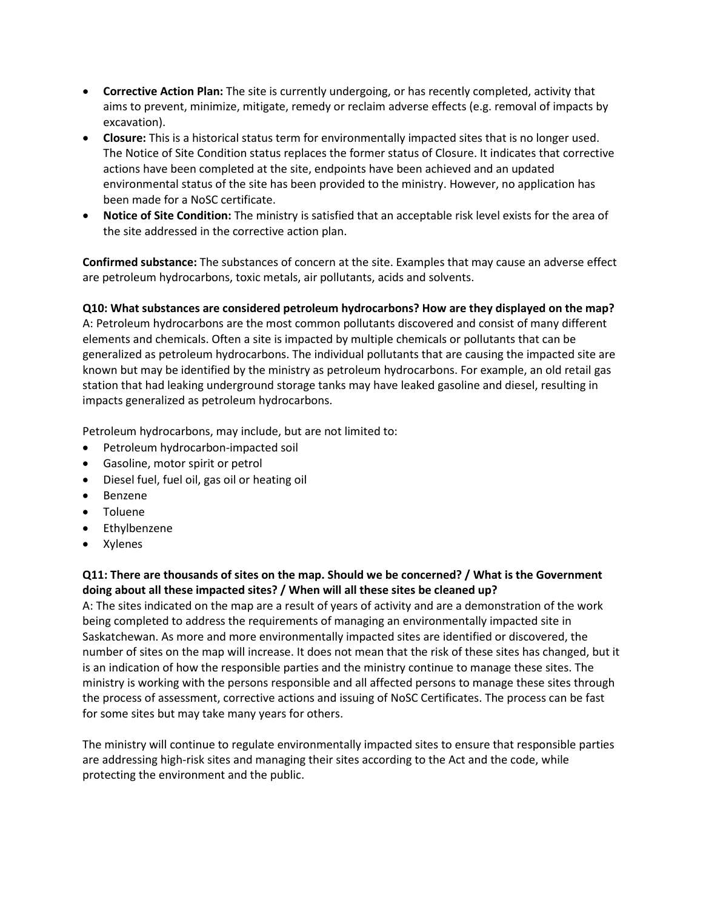- **Corrective Action Plan:** The site is currently undergoing, or has recently completed, activity that aims to prevent, minimize, mitigate, remedy or reclaim adverse effects (e.g. removal of impacts by excavation).
- **Closure:** This is a historical status term for environmentally impacted sites that is no longer used. The Notice of Site Condition status replaces the former status of Closure. It indicates that corrective actions have been completed at the site, endpoints have been achieved and an updated environmental status of the site has been provided to the ministry. However, no application has been made for a NoSC certificate.
- **Notice of Site Condition:** The ministry is satisfied that an acceptable risk level exists for the area of the site addressed in the corrective action plan.

**Confirmed substance:** The substances of concern at the site. Examples that may cause an adverse effect are petroleum hydrocarbons, toxic metals, air pollutants, acids and solvents.

**Q10: What substances are considered petroleum hydrocarbons? How are they displayed on the map?**  A: Petroleum hydrocarbons are the most common pollutants discovered and consist of many different elements and chemicals. Often a site is impacted by multiple chemicals or pollutants that can be generalized as petroleum hydrocarbons. The individual pollutants that are causing the impacted site are known but may be identified by the ministry as petroleum hydrocarbons. For example, an old retail gas station that had leaking underground storage tanks may have leaked gasoline and diesel, resulting in impacts generalized as petroleum hydrocarbons.

Petroleum hydrocarbons, may include, but are not limited to:

- Petroleum hydrocarbon-impacted soil
- Gasoline, motor spirit or petrol
- Diesel fuel, fuel oil, gas oil or heating oil
- Benzene
- Toluene
- Ethylbenzene
- Xylenes

# **Q11: There are thousands of sites on the map. Should we be concerned? / What is the Government doing about all these impacted sites? / When will all these sites be cleaned up?**

A: The sites indicated on the map are a result of years of activity and are a demonstration of the work being completed to address the requirements of managing an environmentally impacted site in Saskatchewan. As more and more environmentally impacted sites are identified or discovered, the number of sites on the map will increase. It does not mean that the risk of these sites has changed, but it is an indication of how the responsible parties and the ministry continue to manage these sites. The ministry is working with the persons responsible and all affected persons to manage these sites through the process of assessment, corrective actions and issuing of NoSC Certificates. The process can be fast for some sites but may take many years for others.

The ministry will continue to regulate environmentally impacted sites to ensure that responsible parties are addressing high-risk sites and managing their sites according to the Act and the code, while protecting the environment and the public.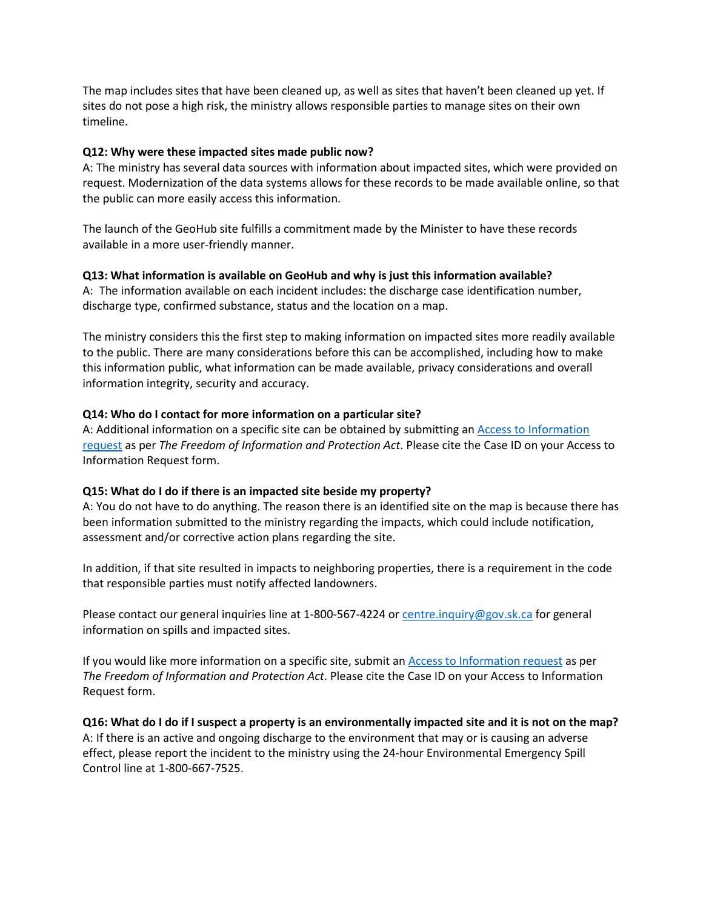The map includes sites that have been cleaned up, as well as sites that haven't been cleaned up yet. If sites do not pose a high risk, the ministry allows responsible parties to manage sites on their own timeline.

#### **Q12: Why were these impacted sites made public now?**

A: The ministry has several data sources with information about impacted sites, which were provided on request. Modernization of the data systems allows for these records to be made available online, so that the public can more easily access this information.

The launch of the GeoHub site fulfills a commitment made by the Minister to have these records available in a more user-friendly manner.

#### **Q13: What information is available on GeoHub and why is just this information available?**

A: The information available on each incident includes: the discharge case identification number, discharge type, confirmed substance, status and the location on a map.

The ministry considers this the first step to making information on impacted sites more readily available to the public. There are many considerations before this can be accomplished, including how to make this information public, what information can be made available, privacy considerations and overall information integrity, security and accuracy.

#### **Q14: Who do I contact for more information on a particular site?**

A: Additional information on a specific site can be obtained by submitting an Access to Information [request](https://publications.saskatchewan.ca/api/v1/products/8837/formats/13226/download) as per *The Freedom of Information and Protection Act*. Please cite the Case ID on your Access to Information Request form.

#### **Q15: What do I do if there is an impacted site beside my property?**

A: You do not have to do anything. The reason there is an identified site on the map is because there has been information submitted to the ministry regarding the impacts, which could include notification, assessment and/or corrective action plans regarding the site.

In addition, if that site resulted in impacts to neighboring properties, there is a requirement in the code that responsible parties must notify affected landowners.

Please contact our general inquiries line at 1-800-567-4224 o[r centre.inquiry@gov.sk.ca](mailto:centre.inquiry@gov.sk.ca) for general information on spills and impacted sites.

If you would like more information on a specific site, submit a[n Access to Information request](https://publications.saskatchewan.ca/api/v1/products/8837/formats/13226/download) as per *The Freedom of Information and Protection Act*. Please cite the Case ID on your Access to Information Request form.

**Q16: What do I do if I suspect a property is an environmentally impacted site and it is not on the map?** A: If there is an active and ongoing discharge to the environment that may or is causing an adverse effect, please report the incident to the ministry using the 24-hour Environmental Emergency Spill Control line at 1-800-667-7525.